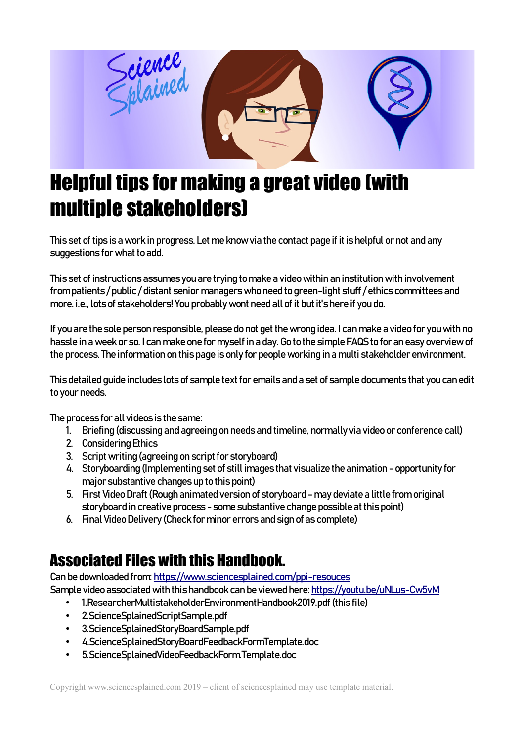

# Helpful tips for making a great video (with multiple stakeholders)

This set of tips is a work in progress. Let me know via the contact page if it is helpful or not and any suggestions for what to add.

This set of instructions assumes you are trying to make a video within an institution with involvement from patients / public / distant senior managers who need to green-light stuff / ethics committees and more. i.e., lots of stakeholders! You probably wont need all of it but it's here if you do.

If you are the sole person responsible, please do not get the wrong idea. I can make a video for you with no hassle in a week or so. I can make one for myself in a day. Go to the simple FAQS to for an easy overview of the process. The information on this page is only for people working in a multi stakeholder environment.

This detailed guide includes lots of sample text for emails and a set of sample documents that you can edit to your needs.

The process for all videos is the same:

- 1. Briefing (discussing and agreeing on needs and timeline, normally via video or conference call)
- 2. Considering Ethics
- 3. Script writing (agreeing on script for storyboard)
- 4. Storyboarding (Implementing set of still images that visualize the animation opportunity for major substantive changes up to this point)
- 5. First Video Draft (Rough animated version of storyboard may deviate a little from original storyboard in creative process - some substantive change possible at this point)
- 6. Final Video Delivery (Check for minor errors and sign of as complete)

# Associated Files with this Handbook.

Can be downloaded from:<https://www.sciencesplained.com/ppi-resouces>

Sample video associated with this handbook can be viewed here:<https://youtu.be/uNLus-Cw5vM>

- 1.ResearcherMultistakeholderEnvironmentHandbook2019.pdf (this file)
- 2.ScienceSplainedScriptSample.pdf
- 3.ScienceSplainedStoryBoardSample.pdf
- 4.ScienceSplainedStoryBoardFeedbackFormTemplate.doc
- 5.ScienceSplainedVideoFeedbackForm.Template.doc

Copyright www.sciencesplained.com 2019 – client of sciencesplained may use template material.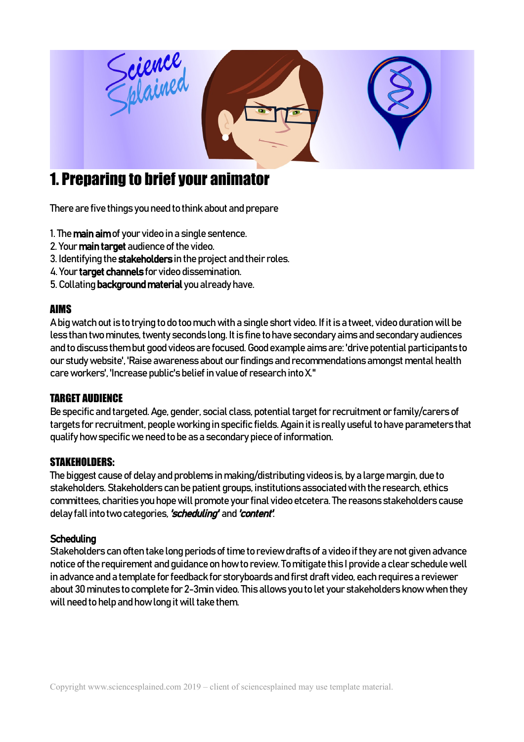

# 1. Preparing to brief your animator

There are five things you need to think about and prepare

- 1. The main aim of your video in a single sentence.
- 2. Your main target audience of the video.
- 3. Identifying the stakeholders in the project and their roles.
- 4. Your target channels for video dissemination.
- 5. Collating background material you already have.

### AIMS

A big watch out is to trying to do too much with a single short video. If it is a tweet, video duration will be less than two minutes, twenty seconds long. It is fine to have secondary aims and secondary audiences and to discuss them but good videos are focused. Good example aims are: 'drive potential participants to our study website', 'Raise awareness about our findings and recommendations amongst mental health care workers', 'Increase public's belief in value of research into X."

### TARGET AUDIENCE

Be specific and targeted. Age, gender, social class, potential target for recruitment or family/carers of targets for recruitment, people working in specific fields. Again it is really useful to have parameters that qualify how specific we need to be as a secondary piece of information.

### STAKEHOLDERS:

The biggest cause of delay and problems in making/distributing videos is, by a large margin, due to stakeholders. Stakeholders can be patient groups, institutions associated with the research, ethics committees, charities you hope will promote your final video etcetera. The reasons stakeholders cause delay fall into two categories, 'scheduling' and 'content'.

#### **Scheduling**

Stakeholders can often take long periods of time to review drafts of a video if they are not given advance notice of the requirement and guidance on how to review. To mitigate this I provide a clear schedule well in advance and a template for feedback for storyboards and first draft video, each requires a reviewer about 30 minutes to complete for 2-3min video. This allows you to let your stakeholders know when they will need to help and how long it will take them.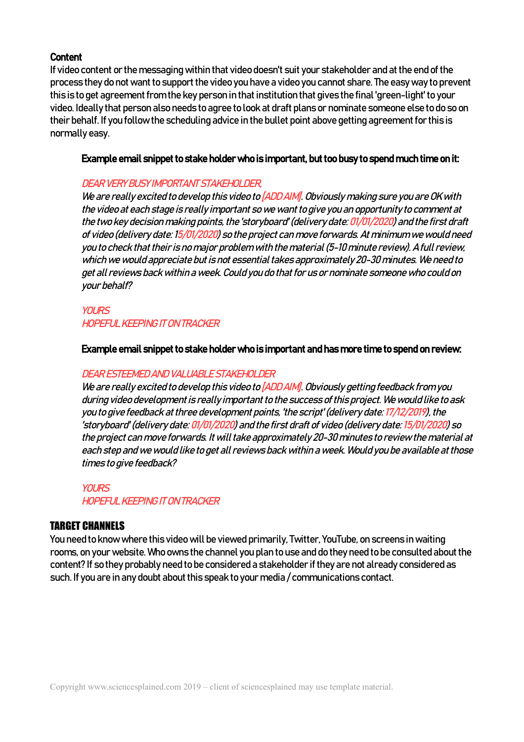#### **Content**

If video content or the messaging within that video doesn't suit your stakeholder and at the end of the process they do not want to support the video you have a video you cannot share. The easy way to prevent this is to get agreement from the key person in that institution that gives the final 'green-light' to your video. Ideally that person also needs to agree to look at draft plans or nominate someone else to do so on their behalf. If you follow the scheduling advice in the bullet point above getting agreement for this is normally easy.

#### Example email snippet to stake holder who is important, but too busy to spend much time on it:

#### DEAR VERY BUSY IMPORTANT STAKEHOLDER,

We are really excited to develop this video to [ADD AIM]. Obviously making sure you are OK with the video at each stage is really important so we want to give you an opportunity to comment at the two key decision making points, the 'storyboard' (delivery date: 01/01/2020) and the first draft of video (delivery date: 15/01/2020) so the project can move forwards. At minimum we would need you to check that their is no major problem with the material (5-10 minute review). A full review, which we would appreciate but is not essential takes approximately 20-30 minutes. We need to get all reviews back within a week. Could you do that for us or nominate someone who could on your behalf?

### **YOURS** HOPEFUL KEEPING IT ON TRACKER

#### Example email snippet to stake holder who is important and has more time to spend on review:

#### DEAR ESTEEMED AND VALUABLE STAKEHOLDER

We are really excited to develop this video to [ADD AIM]. Obviously getting feedback from you during video development is really important to the success of this project. We would like to ask you to give feedback at three development points, 'the script' (delivery date: 17/12/2019), the 'storyboard' (delivery date: 01/01/2020) and the first draft of video (delivery date: 15/01/2020) so the project can move forwards. It will take approximately 20-30 minutes to review the material at each step and we would like to get all reviews back within a week. Would you be available at those times to give feedback?

#### YOUR<sub>S</sub>

HOPEFUL KEEPING IT ON TRACKER

#### TARGET CHANNELS

You need to know where this video will be viewed primarily, Twitter, YouTube, on screens in waiting rooms, on your website. Who owns the channel you plan to use and do they need to be consulted about the content? If so they probably need to be considered a stakeholder if they are not already considered as such. If you are in any doubt about this speak to your media / communications contact.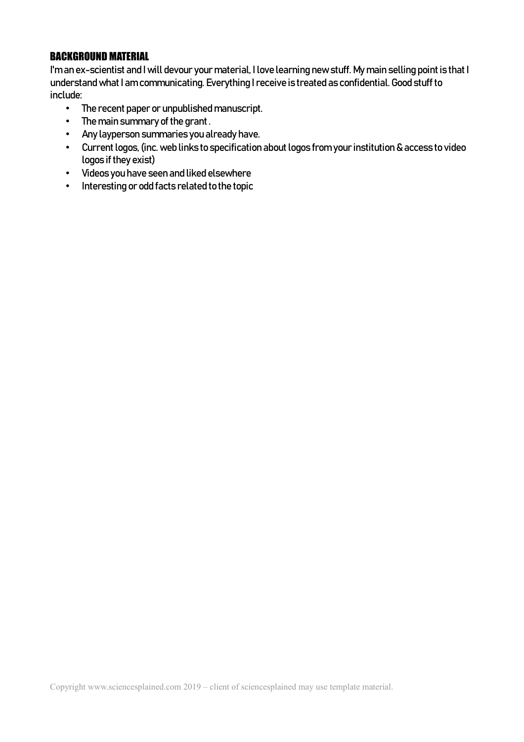### BACKGROUND MATERIAL

I'm an ex-scientist and I will devour your material, I love learning new stuff. My main selling point is that I understand what I am communicating. Everything I receive is treated as confidential. Good stuff to include:

- The recent paper or unpublished manuscript.
- The main summary of the grant .
- Any layperson summaries you already have.
- Current logos, (inc. web links to specification about logos from your institution & access to video logos if they exist)
- Videos you have seen and liked elsewhere
- Interesting or odd facts related to the topic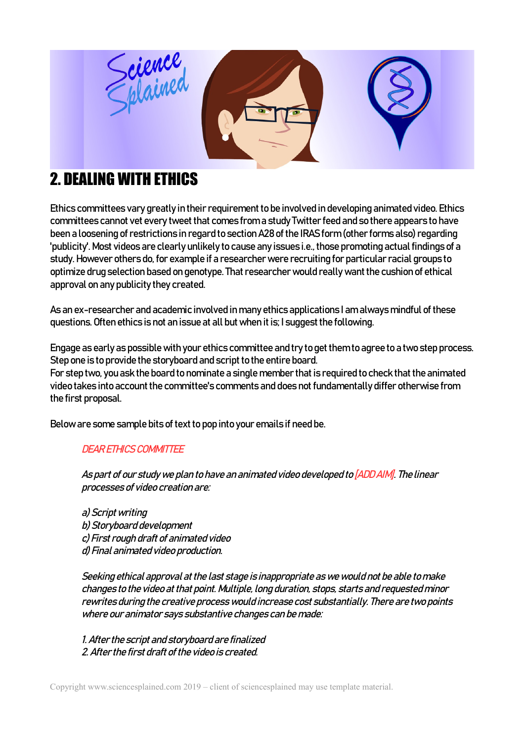

# 2. DEALING WITH ETHICS

Ethics committees vary greatly in their requirement to be involved in developing animated video. Ethics committees cannot vet every tweet that comes from a study Twitter feed and so there appears to have been a loosening of restrictions in regard to section A28 of the IRAS form (other forms also) regarding 'publicity'. Most videos are clearly unlikely to cause any issues i.e., those promoting actual findings of a study. However others do, for example if a researcher were recruiting for particular racial groups to optimize drug selection based on genotype. That researcher would really want the cushion of ethical approval on any publicity they created.

As an ex-researcher and academic involved in many ethics applications I am always mindful of these questions. Often ethics is not an issue at all but when it is; I suggest the following.

Engage as early as possible with your ethics committee and try to get them to agree to a two step process. Step one is to provide the storyboard and script to the entire board. For step two, you ask the board to nominate a single member that is required to check that the animated video takes into account the committee's comments and does not fundamentally differ otherwise from the first proposal.

Below are some sample bits of text to pop into your emails if need be.

### DEAR ETHICS COMMITTEE

As part of our study we plan to have an animated video developed to [ADD AIM]. The linear processes of video creation are:

a) Script writing b) Storyboard development c) First rough draft of animated video d) Final animated video production.

Seeking ethical approval at the last stage is inappropriate as we would not be able to make changes to the video at that point. Multiple, long duration, stops, starts and requested minor rewrites during the creative process would increase cost substantially. There are two points where our animator says substantive changes can be made:

1. After the script and storyboard are finalized 2. After the first draft of the video is created.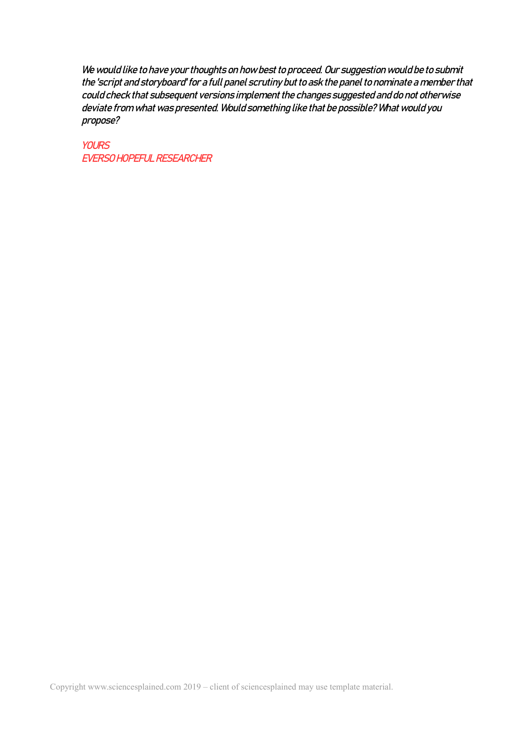We would like to have your thoughts on how best to proceed. Our suggestion would be to submit the 'script and storyboard' for a full panel scrutiny but to ask the panel to nominate a member that could check that subsequent versions implement the changes suggested and do not otherwise deviate from what was presented. Would something like that be possible? What would you propose?

**YOURS** EVERSO HOPEFUL RESEARCHER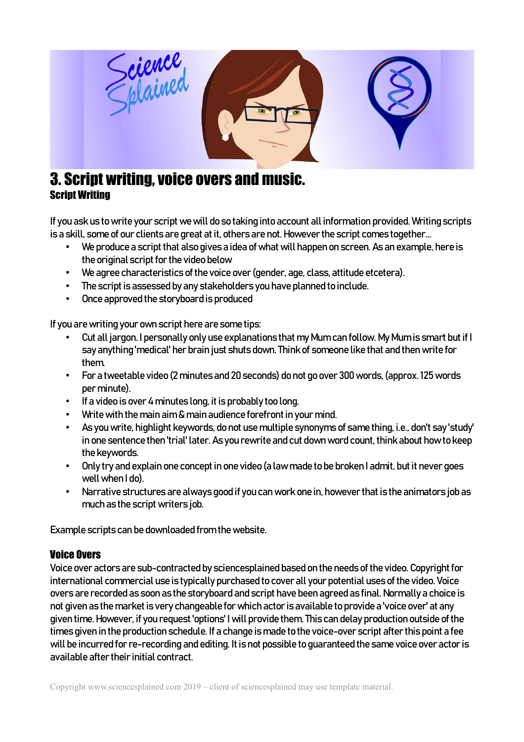

## 3. Script writing, voice overs and music. Script Writing

If you ask us to write your script we will do so taking into account all information provided. Writing scripts is a skill, some of our clients are great at it, others are not. However the script comes together...

- We produce a script that also gives a idea of what will happen on screen. As an example, here is the original script for the video below
- We agree characteristics of the voice over (gender, age, class, attitude etcetera).
- The script is assessed by any stakeholders you have planned to include.
- Once approved the storyboard is produced

If you are writing your own script here are some tips:

- Cut all jargon. I personally only use explanations that my Mum can follow. My Mum is smart but if I say anything 'medical' her brain just shuts down. Think of someone like that and then write for them.
- For a tweetable video (2 minutes and 20 seconds) do not go over 300 words, (approx. 125 words per minute).
- If a video is over 4 minutes long, it is probably too long.
- Write with the main aim & main audience forefront in your mind.
- As you write, highlight keywords, do not use multiple synonyms of same thing, i.e., don't say 'study' in one sentence then 'trial' later. As you rewrite and cut down word count, think about how to keep the keywords.
- Only try and explain one concept in one video (a law made to be broken I admit, but it never goes well when I do).
- Narrative structures are always good if you can work one in, however that is the animators job as much as the script writers job.

Example scripts can be downloaded from the website.

#### Voice Overs

Voice over actors are sub-contracted by sciencesplained based on the needs of the video. Copyright for international commercial use is typically purchased to cover all your potential uses of the video. Voice overs are recorded as soon as the storyboard and script have been agreed as final. Normally a choice is not given as the market is very changeable for which actor is available to provide a 'voice over' at any given time. However, if you request 'options' I will provide them. This can delay production outside of the times given in the production schedule. If a change is made to the voice-over script after this point a fee will be incurred for re-recording and editing. It is not possible to guaranteed the same voice over actor is available after their initial contract.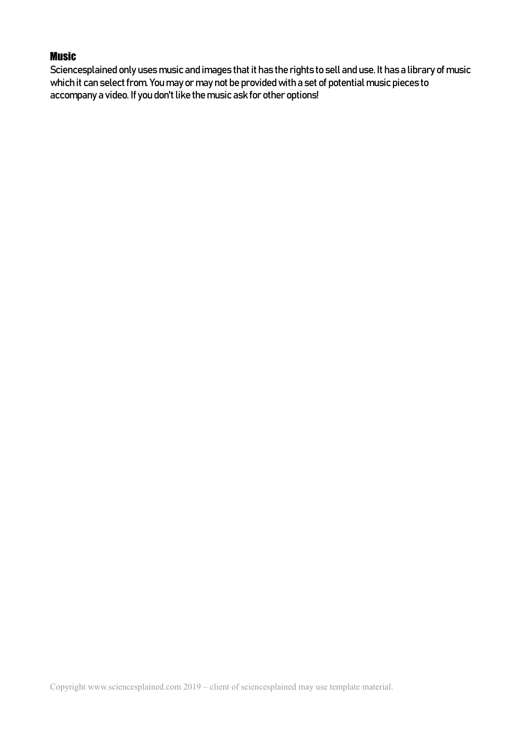#### **Music**

Sciencesplained only uses music and images that it has the rights to sell and use. It has a library of music which it can select from. You may or may not be provided with a set of potential music pieces to accompany a video. If you don't like the music ask for other options!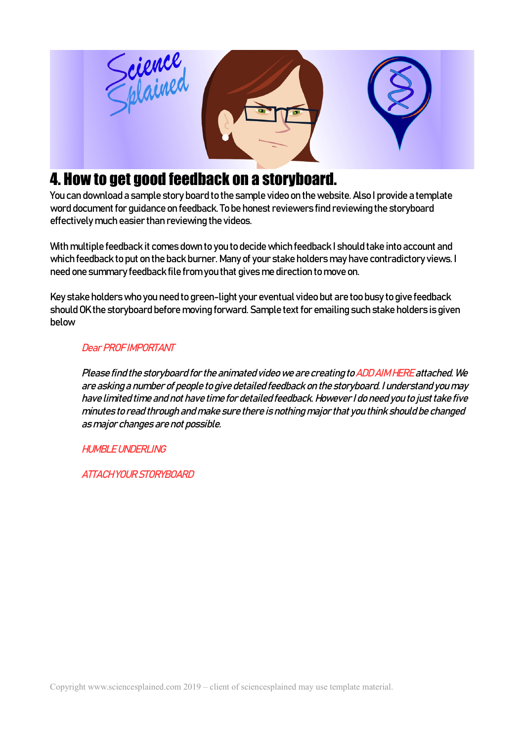

# 4. How to get good feedback on a storyboard.

You can download a sample story board to the sample video on the website. Also I provide a template word document for guidance on feedback. To be honest reviewers find reviewing the storyboard effectively much easier than reviewing the videos.

With multiple feedback it comes down to you to decide which feedback I should take into account and which feedback to put on the back burner. Many of your stake holders may have contradictory views. I need one summary feedback file from you that gives me direction to move on.

Key stake holders who you need to green-light your eventual video but are too busy to give feedback should OK the storyboard before moving forward. Sample text for emailing such stake holders is given below

### Dear PROF IMPORTANT

Please find the storyboard for the animated video we are creating to ADD AIM HERE attached. We are asking a number of people to give detailed feedback on the storyboard. I understand you may have limited time and not have time for detailed feedback. However I do need you to just take five minutes to read through and make sure there is nothing major that you think should be changed as major changes are not possible.

HUMBLE UNDERLING

ATTACH YOUR STORYBOARD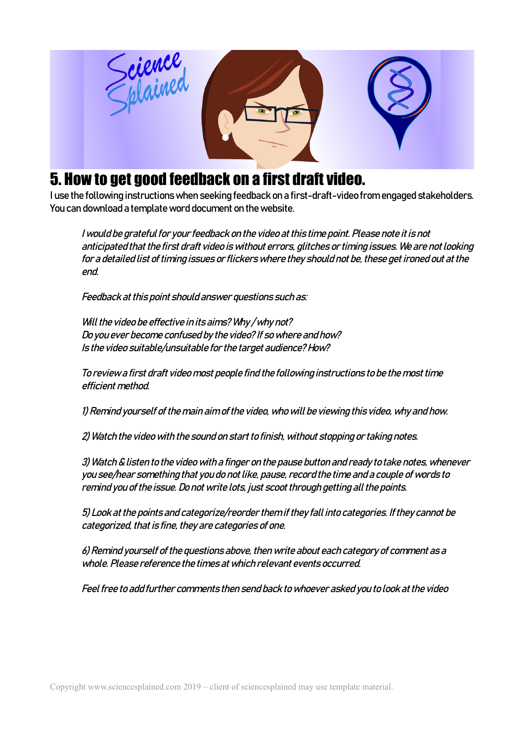

# 5. How to get good feedback on a first draft video.

I use the following instructions when seeking feedback on a first-draft-video from engaged stakeholders. You can download a template word document on the website.

I would be grateful for your feedback on the video at this time point. Please note it is not anticipated that the first draft video is without errors, glitches or timing issues. We are not looking for a detailed list of timing issues or flickers where they should not be, these get ironed out at the end.

Feedback at this point should answer questions such as:

Will the video be effective in its aims? Why/why not? Do you ever become confused by the video? If so where and how? Is the video suitable/unsuitable for the target audience? How?

To review a first draft video most people find the following instructions to be the most time efficient method.

1) Remind yourself of the main aim of the video, who will be viewing this video, why and how.

2) Watch the video with the sound on start to finish, without stopping or taking notes.

3) Watch & listen to the video with a finger on the pause button and ready to take notes, whenever you see/hear something that you do not like, pause, record the time and a couple of words to remind you of the issue. Do not write lots, just scoot through getting all the points.

5) Look at the points and categorize/reorder them if they fall into categories. If they cannot be categorized, that is fine, they are categories of one.

6) Remind yourself of the questions above, then write about each category of comment as a whole. Please reference the times at which relevant events occurred.

Feel free to add further comments then send back to whoever asked you to look at the video